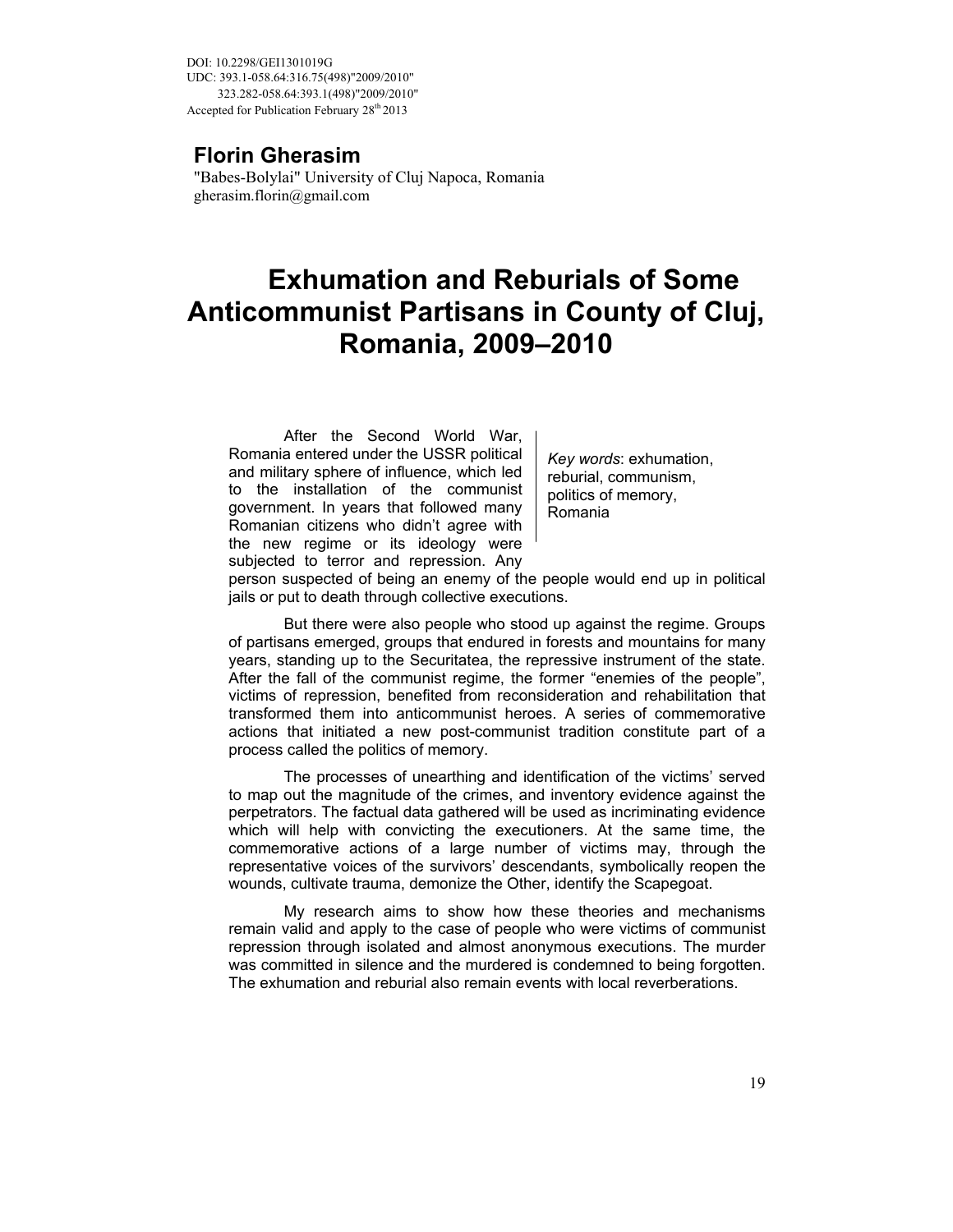DOI: 10.2298/GEI1301019G UDC: 393.1-058.64:316.75(498)"2009/2010" 323.282-058.64:393.1(498)"2009/2010" Accepted for Publication February 28<sup>th</sup> 2013

## **Florin Gherasim**

"Babes-Bolylai" University of Cluj Napoca, Romania gherasim.florin@gmail.com

# **Exhumation and Reburials of Some Anticommunist Partisans in County of Cluj, Romania, 2009–2010**

After the Second World War, Romania entered under the USSR political and military sphere of influence, which led to the installation of the communist government. In years that followed many Romanian citizens who didn't agree with the new regime or its ideology were subjected to terror and repression. Any

*Key words*: exhumation, reburial, communism, politics of memory, Romania

person suspected of being an enemy of the people would end up in political jails or put to death through collective executions.

But there were also people who stood up against the regime. Groups of partisans emerged, groups that endured in forests and mountains for many years, standing up to the Securitatea, the repressive instrument of the state. After the fall of the communist regime, the former "enemies of the people", victims of repression, benefited from reconsideration and rehabilitation that transformed them into anticommunist heroes. A series of commemorative actions that initiated a new post-communist tradition constitute part of a process called the politics of memory.

The processes of unearthing and identification of the victims' served to map out the magnitude of the crimes, and inventory evidence against the perpetrators. The factual data gathered will be used as incriminating evidence which will help with convicting the executioners. At the same time, the commemorative actions of a large number of victims may, through the representative voices of the survivors' descendants, symbolically reopen the wounds, cultivate trauma, demonize the Other, identify the Scapegoat.

My research aims to show how these theories and mechanisms remain valid and apply to the case of people who were victims of communist repression through isolated and almost anonymous executions. The murder was committed in silence and the murdered is condemned to being forgotten. The exhumation and reburial also remain events with local reverberations.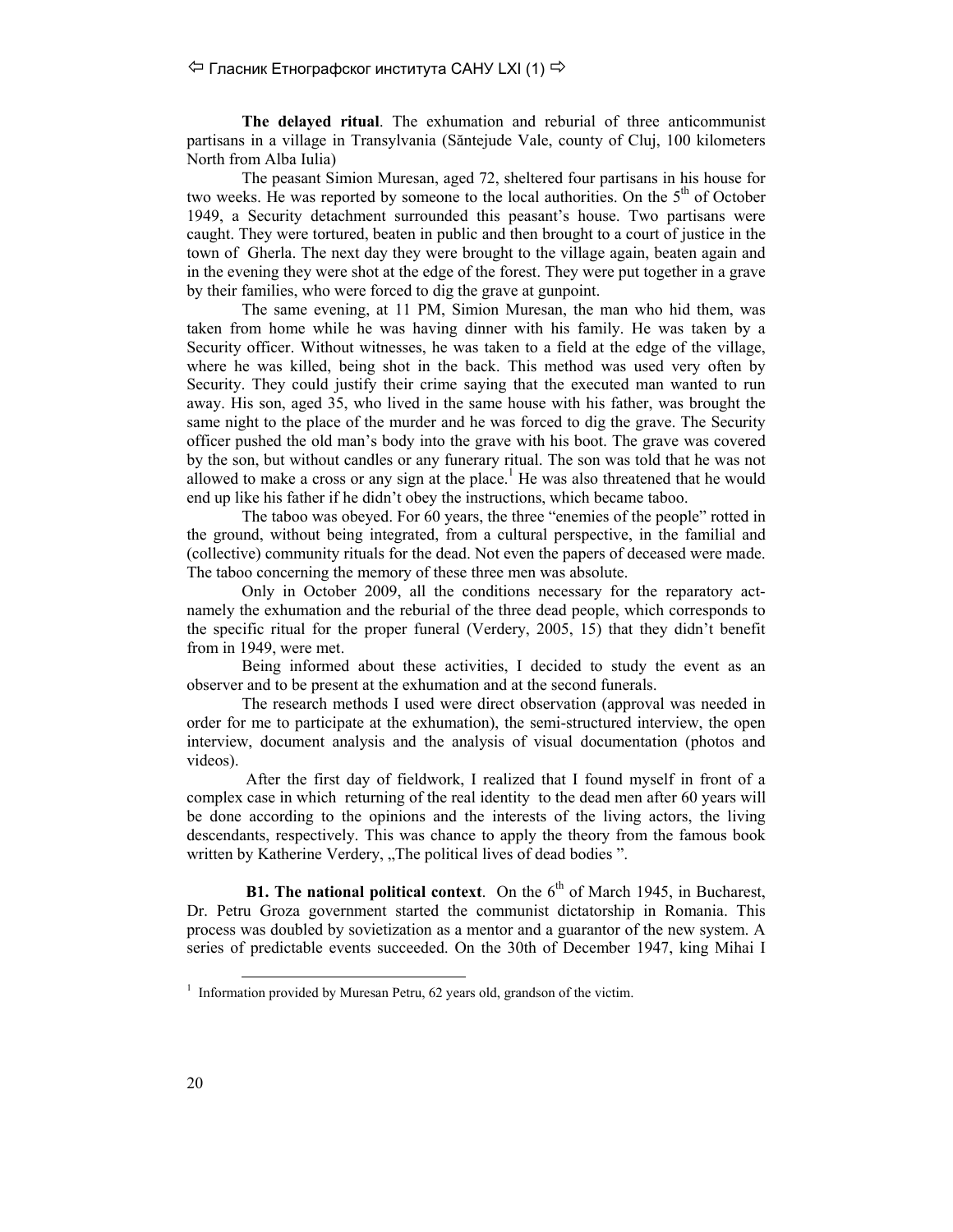## $\Diamond$  Гласник Етнографског института САНУ LXI (1)  $\Rightarrow$

**The delayed ritual**. The exhumation and reburial of three anticommunist partisans in a village in Transylvania (Săntejude Vale, county of Cluj, 100 kilometers North from Alba Iulia)

The peasant Simion Muresan, aged 72, sheltered four partisans in his house for two weeks. He was reported by someone to the local authorities. On the  $5<sup>th</sup>$  of October 1949, a Security detachment surrounded this peasant's house. Two partisans were caught. They were tortured, beaten in public and then brought to a court of justice in the town of Gherla. The next day they were brought to the village again, beaten again and in the evening they were shot at the edge of the forest. They were put together in a grave by their families, who were forced to dig the grave at gunpoint.

The same evening, at 11 PM, Simion Muresan, the man who hid them, was taken from home while he was having dinner with his family. He was taken by a Security officer. Without witnesses, he was taken to a field at the edge of the village, where he was killed, being shot in the back. This method was used very often by Security. They could justify their crime saying that the executed man wanted to run away. His son, aged 35, who lived in the same house with his father, was brought the same night to the place of the murder and he was forced to dig the grave. The Security officer pushed the old man's body into the grave with his boot. The grave was covered by the son, but without candles or any funerary ritual. The son was told that he was not allowed to make a cross or any sign at the place.<sup>1</sup> He was also threatened that he would end up like his father if he didn't obey the instructions, which became taboo.

The taboo was obeyed. For 60 years, the three "enemies of the people" rotted in the ground, without being integrated, from a cultural perspective, in the familial and (collective) community rituals for the dead. Not even the papers of deceased were made. The taboo concerning the memory of these three men was absolute.

Only in October 2009, all the conditions necessary for the reparatory actnamely the exhumation and the reburial of the three dead people, which corresponds to the specific ritual for the proper funeral (Verdery, 2005, 15) that they didn't benefit from in 1949, were met.

Being informed about these activities, I decided to study the event as an observer and to be present at the exhumation and at the second funerals.

The research methods I used were direct observation (approval was needed in order for me to participate at the exhumation), the semi-structured interview, the open interview, document analysis and the analysis of visual documentation (photos and videos).

 After the first day of fieldwork, I realized that I found myself in front of a complex case in which returning of the real identity to the dead men after 60 years will be done according to the opinions and the interests of the living actors, the living descendants, respectively. This was chance to apply the theory from the famous book written by Katherine Verdery, "The political lives of dead bodies".

**B1. The national political context**. On the  $6<sup>th</sup>$  of March 1945, in Bucharest, Dr. Petru Groza government started the communist dictatorship in Romania. This process was doubled by sovietization as a mentor and a guarantor of the new system. A series of predictable events succeeded. On the 30th of December 1947, king Mihai I

<sup>&</sup>lt;sup>1</sup> Information provided by Muresan Petru, 62 years old, grandson of the victim.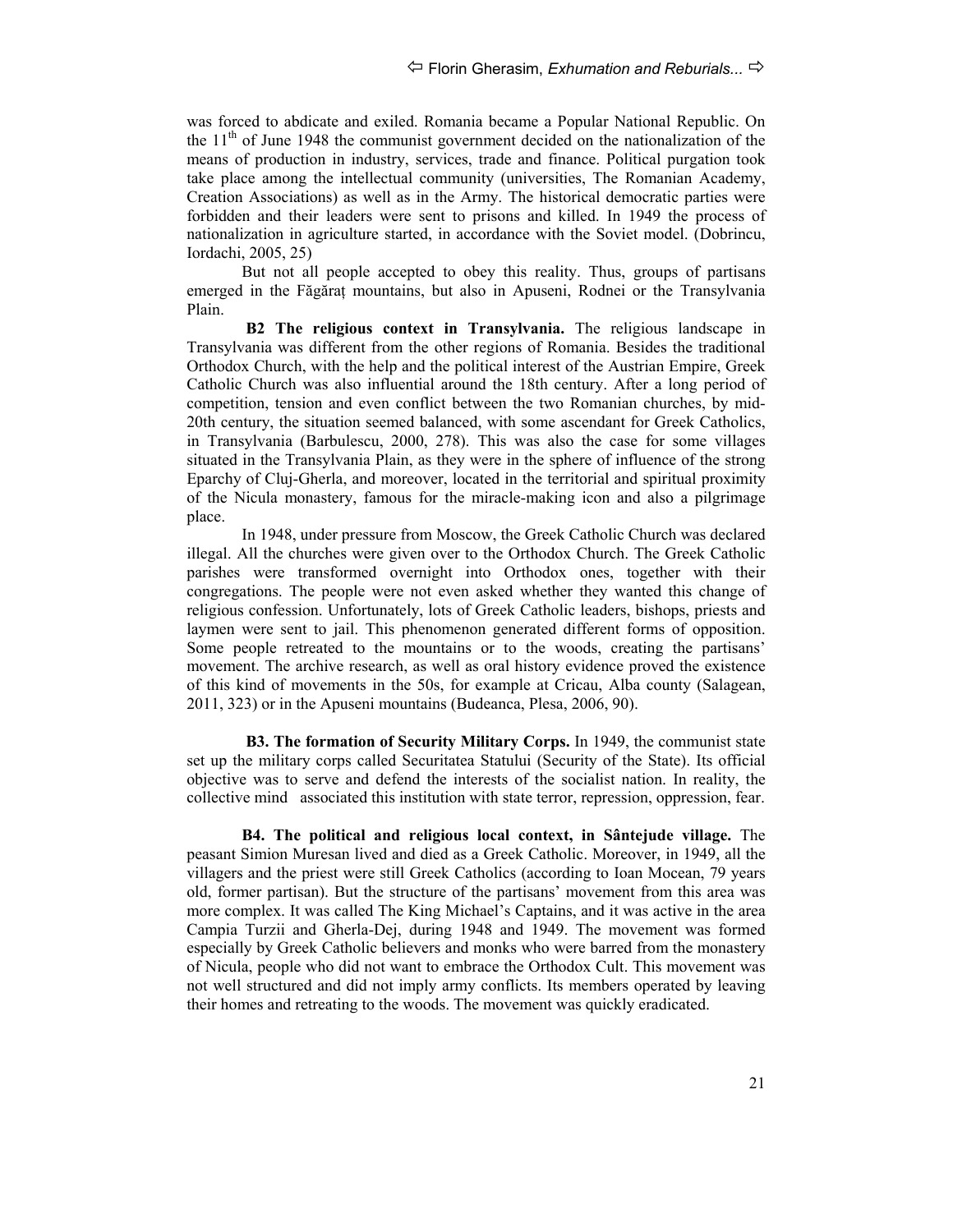was forced to abdicate and exiled. Romania became a Popular National Republic. On the  $11<sup>th</sup>$  of June 1948 the communist government decided on the nationalization of the means of production in industry, services, trade and finance. Political purgation took take place among the intellectual community (universities, The Romanian Academy, Creation Associations) as well as in the Army. The historical democratic parties were forbidden and their leaders were sent to prisons and killed. In 1949 the process of nationalization in agriculture started, in accordance with the Soviet model. (Dobrincu, Iordachi, 2005, 25)

But not all people accepted to obey this reality. Thus, groups of partisans emerged in the Făgăraț mountains, but also in Apuseni, Rodnei or the Transylvania Plain.

**B2 The religious context in Transylvania.** The religious landscape in Transylvania was different from the other regions of Romania. Besides the traditional Orthodox Church, with the help and the political interest of the Austrian Empire, Greek Catholic Church was also influential around the 18th century. After a long period of competition, tension and even conflict between the two Romanian churches, by mid-20th century, the situation seemed balanced, with some ascendant for Greek Catholics, in Transylvania (Barbulescu, 2000, 278). This was also the case for some villages situated in the Transylvania Plain, as they were in the sphere of influence of the strong Eparchy of Cluj-Gherla, and moreover, located in the territorial and spiritual proximity of the Nicula monastery, famous for the miracle-making icon and also a pilgrimage place.

In 1948, under pressure from Moscow, the Greek Catholic Church was declared illegal. All the churches were given over to the Orthodox Church. The Greek Catholic parishes were transformed overnight into Orthodox ones, together with their congregations. The people were not even asked whether they wanted this change of religious confession. Unfortunately, lots of Greek Catholic leaders, bishops, priests and laymen were sent to jail. This phenomenon generated different forms of opposition. Some people retreated to the mountains or to the woods, creating the partisans' movement. The archive research, as well as oral history evidence proved the existence of this kind of movements in the 50s, for example at Cricau, Alba county (Salagean, 2011, 323) or in the Apuseni mountains (Budeanca, Plesa, 2006, 90).

**B3. The formation of Security Military Corps.** In 1949, the communist state set up the military corps called Securitatea Statului (Security of the State). Its official objective was to serve and defend the interests of the socialist nation. In reality, the collective mind associated this institution with state terror, repression, oppression, fear.

**B4. The political and religious local context, in Sântejude village.** The peasant Simion Muresan lived and died as a Greek Catholic. Moreover, in 1949, all the villagers and the priest were still Greek Catholics (according to Ioan Mocean, 79 years old, former partisan). But the structure of the partisans' movement from this area was more complex. It was called The King Michael's Captains, and it was active in the area Campia Turzii and Gherla-Dej, during 1948 and 1949. The movement was formed especially by Greek Catholic believers and monks who were barred from the monastery of Nicula, people who did not want to embrace the Orthodox Cult. This movement was not well structured and did not imply army conflicts. Its members operated by leaving their homes and retreating to the woods. The movement was quickly eradicated.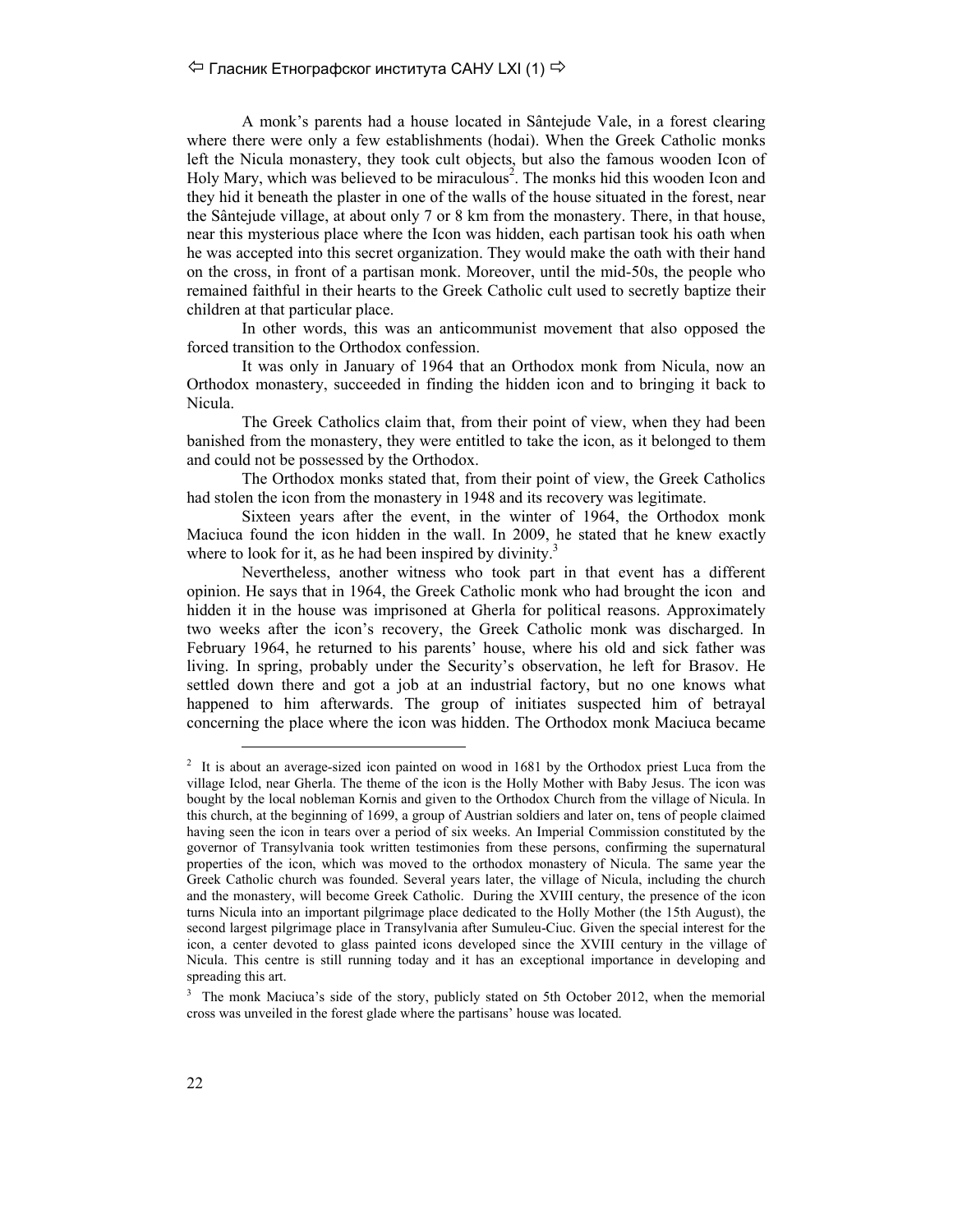A monk's parents had a house located in Sântejude Vale, in a forest clearing where there were only a few establishments (hodai). When the Greek Catholic monks left the Nicula monastery, they took cult objects, but also the famous wooden Icon of Holy Mary, which was believed to be miraculous<sup>2</sup>. The monks hid this wooden Icon and they hid it beneath the plaster in one of the walls of the house situated in the forest, near the Sântejude village, at about only 7 or 8 km from the monastery. There, in that house, near this mysterious place where the Icon was hidden, each partisan took his oath when he was accepted into this secret organization. They would make the oath with their hand on the cross, in front of a partisan monk. Moreover, until the mid-50s, the people who remained faithful in their hearts to the Greek Catholic cult used to secretly baptize their children at that particular place.

In other words, this was an anticommunist movement that also opposed the forced transition to the Orthodox confession.

It was only in January of 1964 that an Orthodox monk from Nicula, now an Orthodox monastery, succeeded in finding the hidden icon and to bringing it back to Nicula.

The Greek Catholics claim that, from their point of view, when they had been banished from the monastery, they were entitled to take the icon, as it belonged to them and could not be possessed by the Orthodox.

The Orthodox monks stated that, from their point of view, the Greek Catholics had stolen the icon from the monastery in 1948 and its recovery was legitimate.

Sixteen years after the event, in the winter of 1964, the Orthodox monk Maciuca found the icon hidden in the wall. In 2009, he stated that he knew exactly where to look for it, as he had been inspired by divinity.<sup>3</sup>

Nevertheless, another witness who took part in that event has a different opinion. He says that in 1964, the Greek Catholic monk who had brought the icon and hidden it in the house was imprisoned at Gherla for political reasons. Approximately two weeks after the icon's recovery, the Greek Catholic monk was discharged. In February 1964, he returned to his parents' house, where his old and sick father was living. In spring, probably under the Security's observation, he left for Brasov. He settled down there and got a job at an industrial factory, but no one knows what happened to him afterwards. The group of initiates suspected him of betrayal concerning the place where the icon was hidden. The Orthodox monk Maciuca became

<sup>&</sup>lt;sup>2</sup> It is about an average-sized icon painted on wood in 1681 by the Orthodox priest Luca from the village Iclod, near Gherla. The theme of the icon is the Holly Mother with Baby Jesus. The icon was bought by the local nobleman Kornis and given to the Orthodox Church from the village of Nicula. In this church, at the beginning of 1699, a group of Austrian soldiers and later on, tens of people claimed having seen the icon in tears over a period of six weeks. An Imperial Commission constituted by the governor of Transylvania took written testimonies from these persons, confirming the supernatural properties of the icon, which was moved to the orthodox monastery of Nicula. The same year the Greek Catholic church was founded. Several years later, the village of Nicula, including the church and the monastery, will become Greek Catholic. During the XVIII century, the presence of the icon turns Nicula into an important pilgrimage place dedicated to the Holly Mother (the 15th August), the second largest pilgrimage place in Transylvania after Sumuleu-Ciuc. Given the special interest for the icon, a center devoted to glass painted icons developed since the XVIII century in the village of Nicula. This centre is still running today and it has an exceptional importance in developing and spreading this art.

<sup>3</sup> The monk Maciuca's side of the story, publicly stated on 5th October 2012, when the memorial cross was unveiled in the forest glade where the partisans' house was located.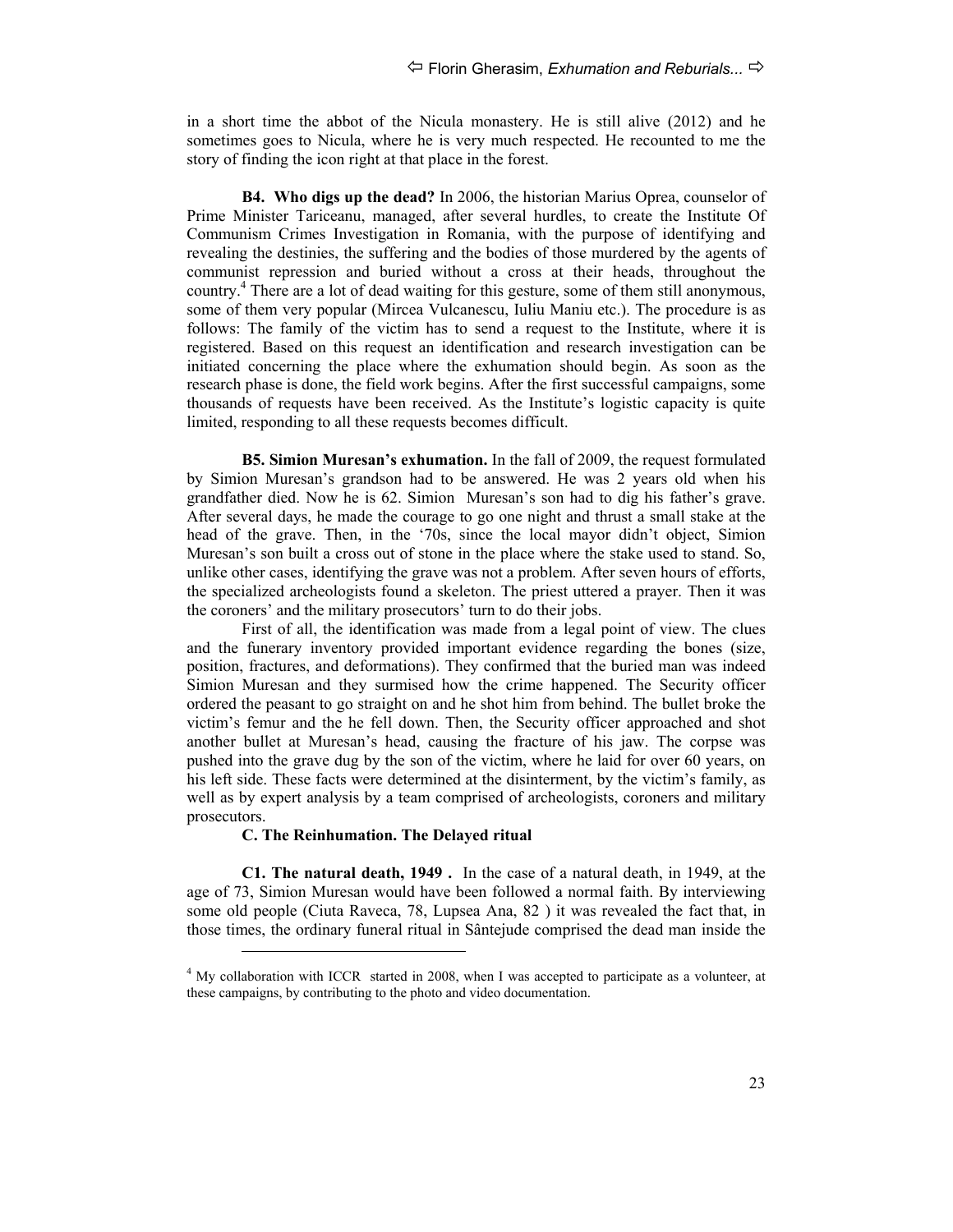in a short time the abbot of the Nicula monastery. He is still alive (2012) and he sometimes goes to Nicula, where he is very much respected. He recounted to me the story of finding the icon right at that place in the forest.

**B4. Who digs up the dead?** In 2006, the historian Marius Oprea, counselor of Prime Minister Tariceanu, managed, after several hurdles, to create the Institute Of Communism Crimes Investigation in Romania, with the purpose of identifying and revealing the destinies, the suffering and the bodies of those murdered by the agents of communist repression and buried without a cross at their heads, throughout the country.<sup>4</sup> There are a lot of dead waiting for this gesture, some of them still anonymous, some of them very popular (Mircea Vulcanescu, Iuliu Maniu etc.). The procedure is as follows: The family of the victim has to send a request to the Institute, where it is registered. Based on this request an identification and research investigation can be initiated concerning the place where the exhumation should begin. As soon as the research phase is done, the field work begins. After the first successful campaigns, some thousands of requests have been received. As the Institute's logistic capacity is quite limited, responding to all these requests becomes difficult.

**B5. Simion Muresan's exhumation.** In the fall of 2009, the request formulated by Simion Muresan's grandson had to be answered. He was 2 years old when his grandfather died. Now he is 62. Simion Muresan's son had to dig his father's grave. After several days, he made the courage to go one night and thrust a small stake at the head of the grave. Then, in the '70s, since the local mayor didn't object, Simion Muresan's son built a cross out of stone in the place where the stake used to stand. So, unlike other cases, identifying the grave was not a problem. After seven hours of efforts, the specialized archeologists found a skeleton. The priest uttered a prayer. Then it was the coroners' and the military prosecutors' turn to do their jobs.

First of all, the identification was made from a legal point of view. The clues and the funerary inventory provided important evidence regarding the bones (size, position, fractures, and deformations). They confirmed that the buried man was indeed Simion Muresan and they surmised how the crime happened. The Security officer ordered the peasant to go straight on and he shot him from behind. The bullet broke the victim's femur and the he fell down. Then, the Security officer approached and shot another bullet at Muresan's head, causing the fracture of his jaw. The corpse was pushed into the grave dug by the son of the victim, where he laid for over 60 years, on his left side. These facts were determined at the disinterment, by the victim's family, as well as by expert analysis by a team comprised of archeologists, coroners and military prosecutors.

#### **C. The Reinhumation. The Delayed ritual**

-

**C1. The natural death, 1949 .** In the case of a natural death, in 1949, at the age of 73, Simion Muresan would have been followed a normal faith. By interviewing some old people (Ciuta Raveca, 78, Lupsea Ana, 82 ) it was revealed the fact that, in those times, the ordinary funeral ritual in Sântejude comprised the dead man inside the

 $<sup>4</sup>$  My collaboration with ICCR started in 2008, when I was accepted to participate as a volunteer, at</sup> these campaigns, by contributing to the photo and video documentation.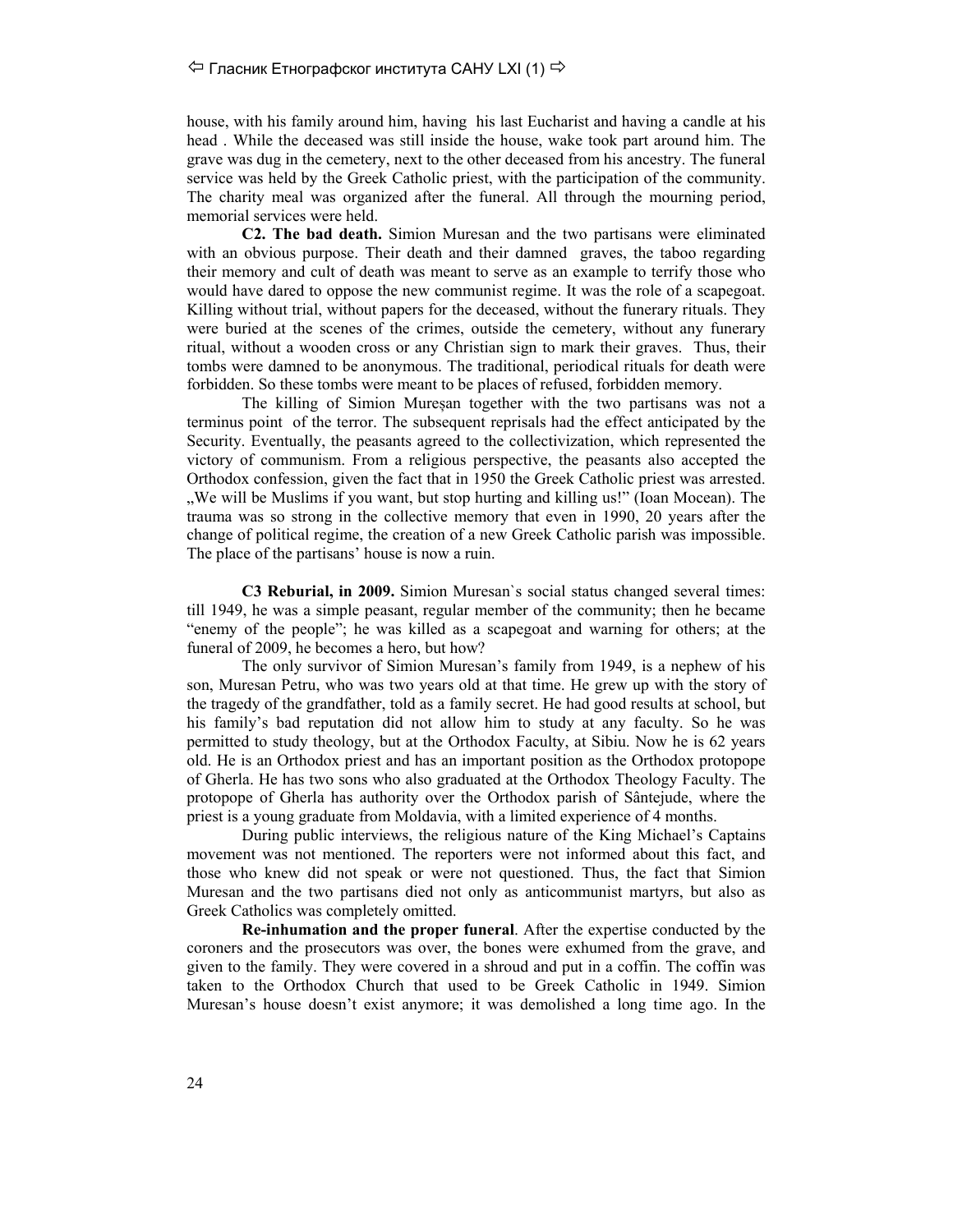### $\Diamond$  Гласник Етнографског института САНУ LXI (1)  $\Rightarrow$

house, with his family around him, having his last Eucharist and having a candle at his head . While the deceased was still inside the house, wake took part around him. The grave was dug in the cemetery, next to the other deceased from his ancestry. The funeral service was held by the Greek Catholic priest, with the participation of the community. The charity meal was organized after the funeral. All through the mourning period, memorial services were held.

**C2. The bad death.** Simion Muresan and the two partisans were eliminated with an obvious purpose. Their death and their damned graves, the taboo regarding their memory and cult of death was meant to serve as an example to terrify those who would have dared to oppose the new communist regime. It was the role of a scapegoat. Killing without trial, without papers for the deceased, without the funerary rituals. They were buried at the scenes of the crimes, outside the cemetery, without any funerary ritual, without a wooden cross or any Christian sign to mark their graves. Thus, their tombs were damned to be anonymous. The traditional, periodical rituals for death were forbidden. So these tombs were meant to be places of refused, forbidden memory.

The killing of Simion Mureșan together with the two partisans was not a terminus point of the terror. The subsequent reprisals had the effect anticipated by the Security. Eventually, the peasants agreed to the collectivization, which represented the victory of communism. From a religious perspective, the peasants also accepted the Orthodox confession, given the fact that in 1950 the Greek Catholic priest was arrested. "We will be Muslims if you want, but stop hurting and killing us!" (Ioan Mocean). The trauma was so strong in the collective memory that even in 1990, 20 years after the change of political regime, the creation of a new Greek Catholic parish was impossible. The place of the partisans' house is now a ruin.

**C3 Reburial, in 2009.** Simion Muresan`s social status changed several times: till 1949, he was a simple peasant, regular member of the community; then he became "enemy of the people"; he was killed as a scapegoat and warning for others; at the funeral of 2009, he becomes a hero, but how?

The only survivor of Simion Muresan's family from 1949, is a nephew of his son, Muresan Petru, who was two years old at that time. He grew up with the story of the tragedy of the grandfather, told as a family secret. He had good results at school, but his family's bad reputation did not allow him to study at any faculty. So he was permitted to study theology, but at the Orthodox Faculty, at Sibiu. Now he is 62 years old. He is an Orthodox priest and has an important position as the Orthodox protopope of Gherla. He has two sons who also graduated at the Orthodox Theology Faculty. The protopope of Gherla has authority over the Orthodox parish of Sântejude, where the priest is a young graduate from Moldavia, with a limited experience of 4 months.

During public interviews, the religious nature of the King Michael's Captains movement was not mentioned. The reporters were not informed about this fact, and those who knew did not speak or were not questioned. Thus, the fact that Simion Muresan and the two partisans died not only as anticommunist martyrs, but also as Greek Catholics was completely omitted.

**Re-inhumation and the proper funeral**. After the expertise conducted by the coroners and the prosecutors was over, the bones were exhumed from the grave, and given to the family. They were covered in a shroud and put in a coffin. The coffin was taken to the Orthodox Church that used to be Greek Catholic in 1949. Simion Muresan's house doesn't exist anymore; it was demolished a long time ago. In the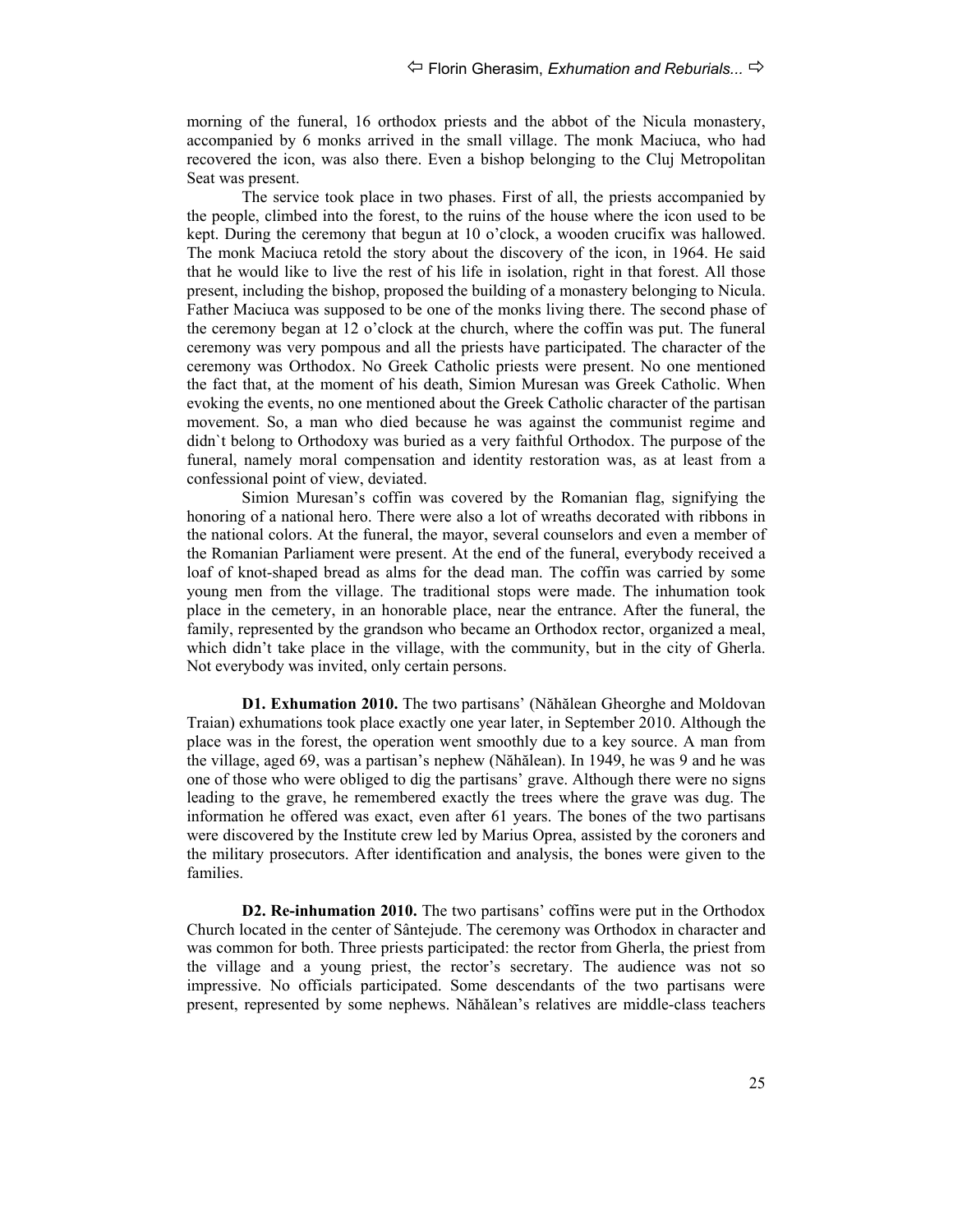morning of the funeral, 16 orthodox priests and the abbot of the Nicula monastery, accompanied by 6 monks arrived in the small village. The monk Maciuca, who had recovered the icon, was also there. Even a bishop belonging to the Cluj Metropolitan Seat was present.

The service took place in two phases. First of all, the priests accompanied by the people, climbed into the forest, to the ruins of the house where the icon used to be kept. During the ceremony that begun at 10 o'clock, a wooden crucifix was hallowed. The monk Maciuca retold the story about the discovery of the icon, in 1964. He said that he would like to live the rest of his life in isolation, right in that forest. All those present, including the bishop, proposed the building of a monastery belonging to Nicula. Father Maciuca was supposed to be one of the monks living there. The second phase of the ceremony began at 12 o'clock at the church, where the coffin was put. The funeral ceremony was very pompous and all the priests have participated. The character of the ceremony was Orthodox. No Greek Catholic priests were present. No one mentioned the fact that, at the moment of his death, Simion Muresan was Greek Catholic. When evoking the events, no one mentioned about the Greek Catholic character of the partisan movement. So, a man who died because he was against the communist regime and didn`t belong to Orthodoxy was buried as a very faithful Orthodox. The purpose of the funeral, namely moral compensation and identity restoration was, as at least from a confessional point of view, deviated.

Simion Muresan's coffin was covered by the Romanian flag, signifying the honoring of a national hero. There were also a lot of wreaths decorated with ribbons in the national colors. At the funeral, the mayor, several counselors and even a member of the Romanian Parliament were present. At the end of the funeral, everybody received a loaf of knot-shaped bread as alms for the dead man. The coffin was carried by some young men from the village. The traditional stops were made. The inhumation took place in the cemetery, in an honorable place, near the entrance. After the funeral, the family, represented by the grandson who became an Orthodox rector, organized a meal, which didn't take place in the village, with the community, but in the city of Gherla. Not everybody was invited, only certain persons.

**D1. Exhumation 2010.** The two partisans' (Năhălean Gheorghe and Moldovan Traian) exhumations took place exactly one year later, in September 2010. Although the place was in the forest, the operation went smoothly due to a key source. A man from the village, aged 69, was a partisan's nephew (Năhălean). In 1949, he was 9 and he was one of those who were obliged to dig the partisans' grave. Although there were no signs leading to the grave, he remembered exactly the trees where the grave was dug. The information he offered was exact, even after 61 years. The bones of the two partisans were discovered by the Institute crew led by Marius Oprea, assisted by the coroners and the military prosecutors. After identification and analysis, the bones were given to the families.

**D2. Re-inhumation 2010.** The two partisans' coffins were put in the Orthodox Church located in the center of Sântejude. The ceremony was Orthodox in character and was common for both. Three priests participated: the rector from Gherla, the priest from the village and a young priest, the rector's secretary. The audience was not so impressive. No officials participated. Some descendants of the two partisans were present, represented by some nephews. Năhălean's relatives are middle-class teachers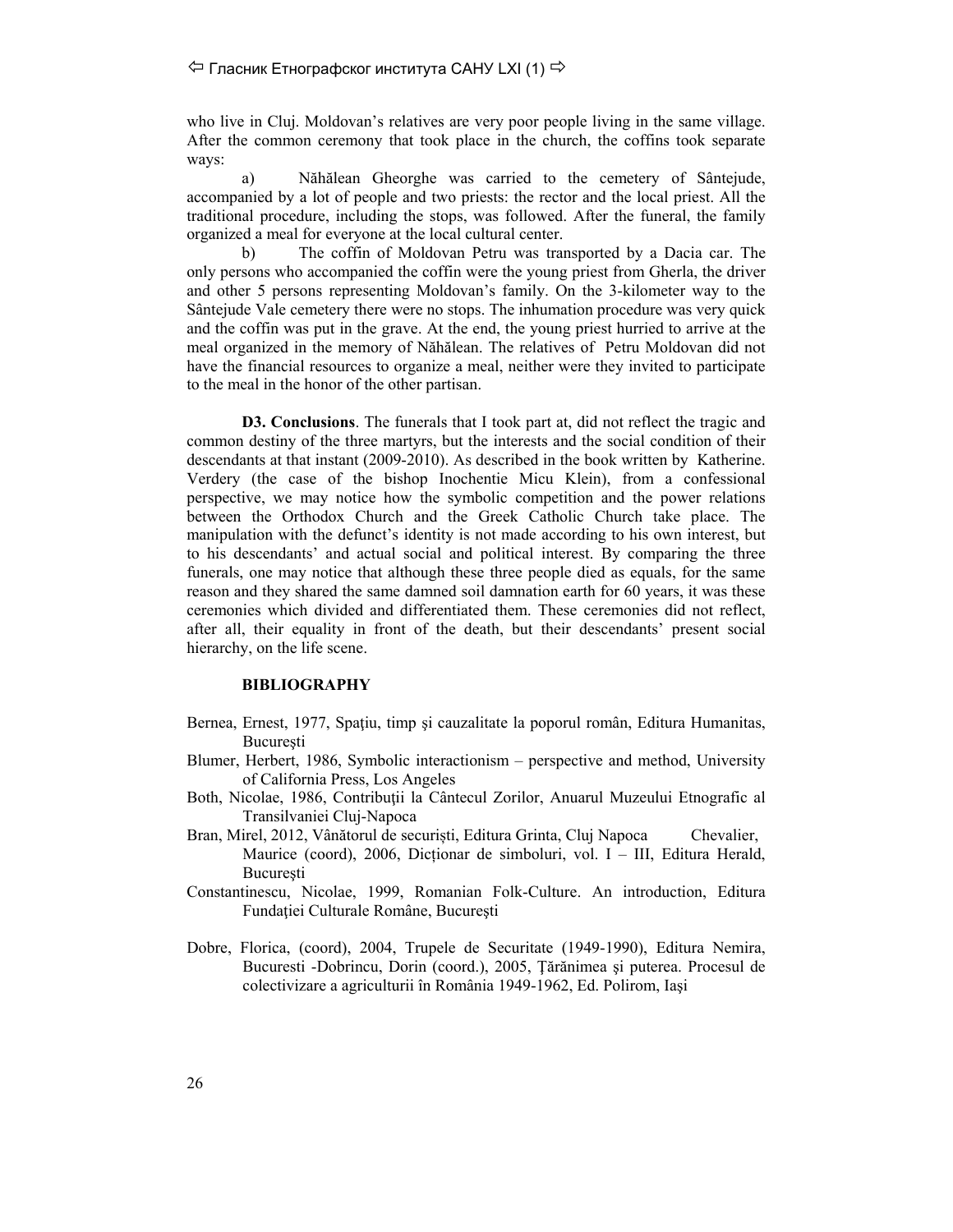## $\Diamond$  Гласник Етнографског института САНУ LXI (1)  $\Rightarrow$

who live in Cluj. Moldovan's relatives are very poor people living in the same village. After the common ceremony that took place in the church, the coffins took separate ways:

a) Năhălean Gheorghe was carried to the cemetery of Sântejude, accompanied by a lot of people and two priests: the rector and the local priest. All the traditional procedure, including the stops, was followed. After the funeral, the family organized a meal for everyone at the local cultural center.

b) The coffin of Moldovan Petru was transported by a Dacia car. The only persons who accompanied the coffin were the young priest from Gherla, the driver and other 5 persons representing Moldovan's family. On the 3-kilometer way to the Sântejude Vale cemetery there were no stops. The inhumation procedure was very quick and the coffin was put in the grave. At the end, the young priest hurried to arrive at the meal organized in the memory of Năhălean. The relatives of Petru Moldovan did not have the financial resources to organize a meal, neither were they invited to participate to the meal in the honor of the other partisan.

**D3. Conclusions**. The funerals that I took part at, did not reflect the tragic and common destiny of the three martyrs, but the interests and the social condition of their descendants at that instant (2009-2010). As described in the book written by Katherine. Verdery (the case of the bishop Inochentie Micu Klein), from a confessional perspective, we may notice how the symbolic competition and the power relations between the Orthodox Church and the Greek Catholic Church take place. The manipulation with the defunct's identity is not made according to his own interest, but to his descendants' and actual social and political interest. By comparing the three funerals, one may notice that although these three people died as equals, for the same reason and they shared the same damned soil damnation earth for 60 years, it was these ceremonies which divided and differentiated them. These ceremonies did not reflect, after all, their equality in front of the death, but their descendants' present social hierarchy, on the life scene.

#### **BIBLIOGRAPHY**

- Bernea, Ernest, 1977, Spațiu, timp și cauzalitate la poporul român, Editura Humanitas, **Bucuresti**
- Blumer, Herbert, 1986, Symbolic interactionism perspective and method, University of California Press, Los Angeles
- Both, Nicolae, 1986, Contributii la Cântecul Zorilor, Anuarul Muzeului Etnografic al Transilvaniei Cluj-Napoca
- Bran, Mirel, 2012, Vânătorul de securiști, Editura Grinta, Cluj Napoca Chevalier, Maurice (coord), 2006, Dicționar de simboluri, vol. I – III, Editura Herald, Bucureşti
- Constantinescu, Nicolae, 1999, Romanian Folk-Culture. An introduction, Editura Fundaţiei Culturale Române, Bucureşti
- Dobre, Florica, (coord), 2004, Trupele de Securitate (1949-1990), Editura Nemira, Bucuresti -Dobrincu, Dorin (coord.), 2005, Ţărănimea şi puterea. Procesul de colectivizare a agriculturii în România 1949-1962, Ed. Polirom, Iaşi